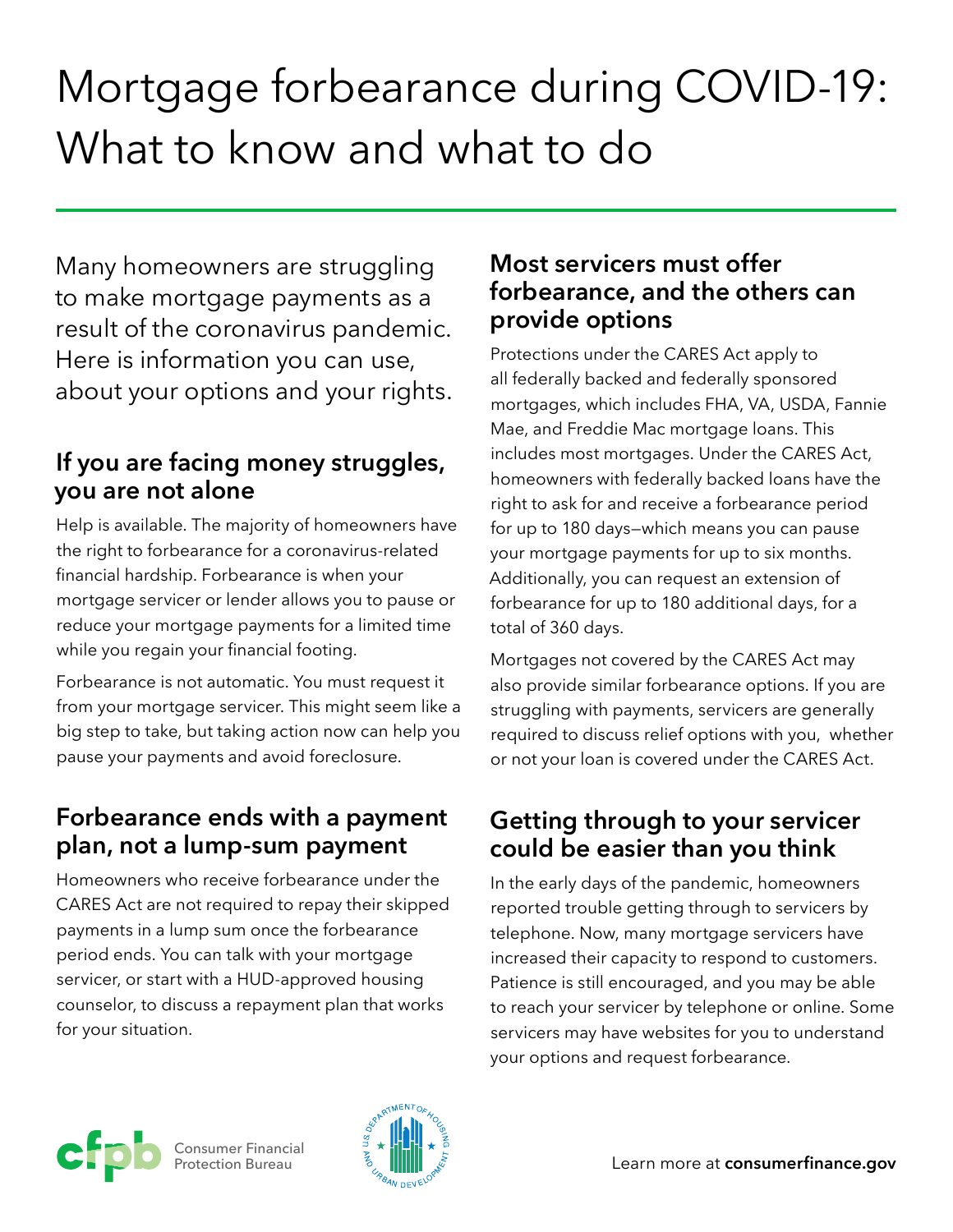# Mortgage forbearance during COVID-19: What to know and what to do

Many homeowners are struggling to make mortgage payments as a result of the coronavirus pandemic. Here is information you can use, about your options and your rights.

# **If you are facing money struggles, you are not alone**

Help is available. The majority of homeowners have the right to forbearance for a coronavirus-related financial hardship. Forbearance is when your mortgage servicer or lender allows you to pause or reduce your mortgage payments for a limited time while you regain your financial footing.

Forbearance is not automatic. You must request it from your mortgage servicer. This might seem like a big step to take, but taking action now can help you pause your payments and avoid foreclosure.

# **Forbearance ends with a payment plan, not a lump-sum payment**

Homeowners who receive forbearance under the CARES Act are not required to repay their skipped payments in a lump sum once the forbearance period ends. You can talk with your mortgage servicer, or start with a HUD-approved housing counselor, to discuss a repayment plan that works for your situation.

#### **Most servicers must offer forbearance, and the others can provide options**

Protections under the CARES Act apply to all federally backed and federally sponsored mortgages, which includes FHA, VA, USDA, Fannie Mae, and Freddie Mac mortgage loans. This includes most mortgages. Under the CARES Act, homeowners with federally backed loans have the right to ask for and receive a forbearance period for up to 180 days—which means you can pause your mortgage payments for up to six months. Additionally, you can request an extension of forbearance for up to 180 additional days, for a total of 360 days.

Mortgages not covered by the CARES Act may also provide similar forbearance options. If you are struggling with payments, servicers are generally required to discuss relief options with you, whether or not your loan is covered under the CARES Act.

# **Getting through to your servicer could be easier than you think**

In the early days of the pandemic, homeowners reported trouble getting through to servicers by telephone. Now, many mortgage servicers have increased their capacity to respond to customers. Patience is still encouraged, and you may be able to reach your servicer by telephone or online. Some servicers may have websites for you to understand your options and request forbearance.